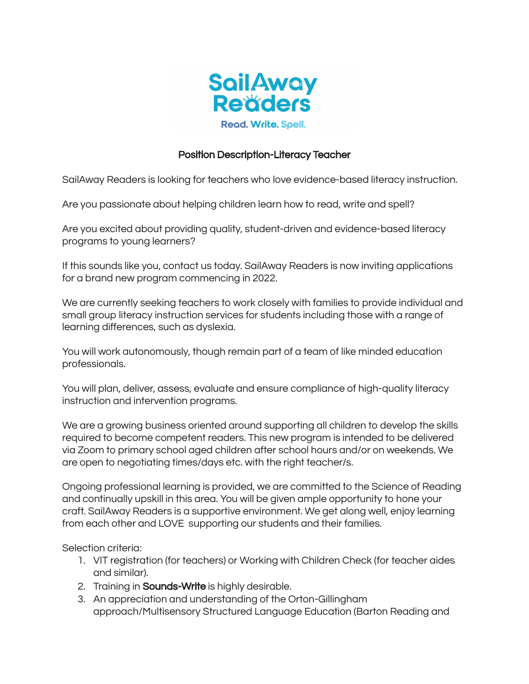

## Position Description-Literacy Teacher

SailAway Readers is looking for teachers who love evidence-based literacy instruction.

Are you passionate about helping children learn how to read, write and spell?

Are you excited about providing quality, student-driven and evidence-based literacy programs to young learners?

If this sounds like you, contact us today. SailAway Readers is now inviting applications for a brand new program commencing in 2022.

We are currently seeking teachers to work closely with families to provide individual and small group literacy instruction services for students including those with a range of learning differences, such as dyslexia.

You will work autonomously, though remain part of a team of like minded education professionals.

You will plan, deliver, assess, evaluate and ensure compliance of high-quality literacy instruction and intervention programs.

We are a growing business oriented around supporting all children to develop the skills required to become competent readers. This new program is intended to be delivered via Zoom to primary school aged children after school hours and/or on weekends. We are open to negotiating times/days etc. with the right teacher/s.

Ongoing professional learning is provided, we are committed to the Science of Reading and continually upskill in this area. You will be given ample opportunity to hone your craft. SailAway Readers is a supportive environment. We get along well, enjoy learning from each other and LOVE supporting our students and their families.

Selection criteria:

- 1. VIT registration (for teachers) or Working with Children Check (for teacher aides and similar).
- 2. Training in **Sounds-Write** is highly desirable.
- 3. An appreciation and understanding of the Orton-Gillingham approach/Multisensory Structured Language Education (Barton Reading and